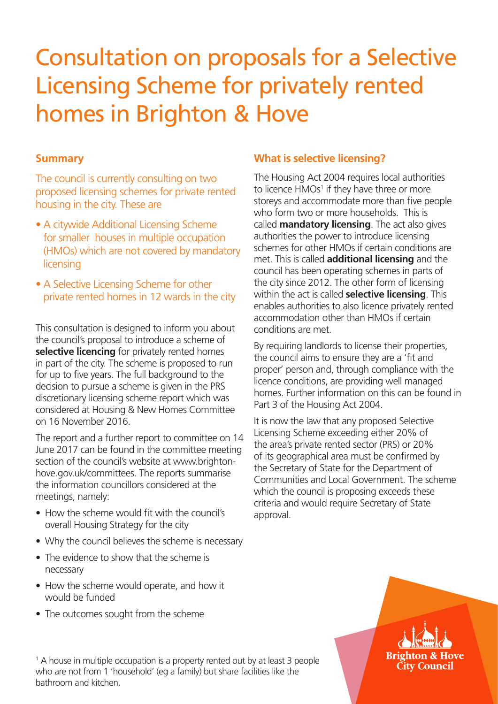# Consultation on proposals for a Selective Licensing Scheme for privately rented homes in Brighton & Hove

#### **Summary**

The council is currently consulting on two proposed licensing schemes for private rented housing in the city. These are

- A citywide Additional Licensing Scheme for smaller houses in multiple occupation (HMOs) which are not covered by mandatory licensing
- A Selective Licensing Scheme for other private rented homes in 12 wards in the city

This consultation is designed to inform you about the council's proposal to introduce a scheme of **selective licencing** for privately rented homes in part of the city. The scheme is proposed to run for up to five years. The full background to the decision to pursue a scheme is given in the PRS discretionary licensing scheme report which was considered at Housing & New Homes Committee on 16 November 2016.

The report and a further report to committee on 14 June 2017 can be found in the committee meeting section of the council's website at www.brightonhove.gov.uk/committees. The reports summarise the information councillors considered at the meetings, namely:

- How the scheme would fit with the council's overall Housing Strategy for the city
- Why the council believes the scheme is necessary
- The evidence to show that the scheme is necessary
- How the scheme would operate, and how it would be funded
- The outcomes sought from the scheme

### **What is selective licensing?**

The Housing Act 2004 requires local authorities to licence HMOs<sup>1</sup> if they have three or more storeys and accommodate more than five people who form two or more households. This is called **mandatory licensing**. The act also gives authorities the power to introduce licensing schemes for other HMOs if certain conditions are met. This is called **additional licensing** and the council has been operating schemes in parts of the city since 2012. The other form of licensing within the act is called **selective licensing**. This enables authorities to also licence privately rented accommodation other than HMOs if certain conditions are met.

By requiring landlords to license their properties, the council aims to ensure they are a 'fit and proper' person and, through compliance with the licence conditions, are providing well managed homes. Further information on this can be found in Part 3 of the Housing Act 2004.

It is now the law that any proposed Selective Licensing Scheme exceeding either 20% of the area's private rented sector (PRS) or 20% of its geographical area must be confirmed by the Secretary of State for the Department of Communities and Local Government. The scheme which the council is proposing exceeds these criteria and would require Secretary of State approval.

## Rrighton & Hove **City Council**

<sup>1</sup> A [house in multiple occupation](https://www.gov.uk/private-renting/houses-in-multiple-occupation) is a property rented out by at least 3 people who are not from 1 'household' (eg a family) but share facilities like the bathroom and kitchen.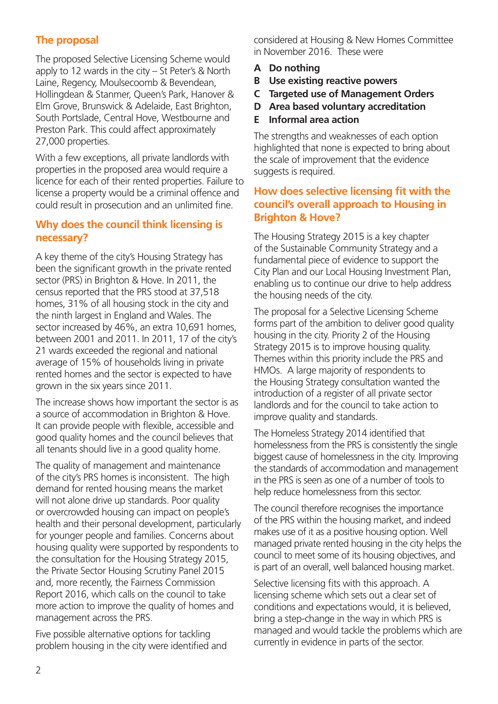## **The proposal**

The proposed Selective Licensing Scheme would apply to 12 wards in the city – St Peter's & North Laine, Regency, Moulsecoomb & Bevendean, Hollingdean & Stanmer, Queen's Park, Hanover & Elm Grove, Brunswick & Adelaide, East Brighton, South Portslade, Central Hove, Westbourne and Preston Park. This could affect approximately 27,000 properties.

With a few exceptions, all private landlords with properties in the proposed area would require a licence for each of their rented properties. Failure to license a property would be a criminal offence and could result in prosecution and an unlimited fine.

#### **Why does the council think licensing is necessary?**

A key theme of the city's Housing Strategy has been the significant growth in the private rented sector (PRS) in Brighton & Hove. In 2011, the census reported that the PRS stood at 37,518 homes, 31% of all housing stock in the city and the ninth largest in England and Wales. The sector increased by 46%, an extra 10,691 homes, between 2001 and 2011. In 2011, 17 of the city's 21 wards exceeded the regional and national average of 15% of households living in private rented homes and the sector is expected to have grown in the six years since 2011.

The increase shows how important the sector is as a source of accommodation in Brighton & Hove. It can provide people with flexible, accessible and good quality homes and the council believes that all tenants should live in a good quality home.

The quality of management and maintenance of the city's PRS homes is inconsistent. The high demand for rented housing means the market will not alone drive up standards. Poor quality or overcrowded housing can impact on people's health and their personal development, particularly for younger people and families. Concerns about housing quality were supported by respondents to the consultation for the Housing Strategy 2015, the Private Sector Housing Scrutiny Panel 2015 and, more recently, the Fairness Commission Report 2016, which calls on the council to take more action to improve the quality of homes and management across the PRS.

Five possible alternative options for tackling problem housing in the city were identified and considered at Housing & New Homes Committee in November 2016. These were

- **A Do nothing**
- **B Use existing reactive powers**
- **C Targeted use of Management Orders**
- **D Area based voluntary accreditation**
- **E Informal area action**

The strengths and weaknesses of each option highlighted that none is expected to bring about the scale of improvement that the evidence suggests is required.

#### **How does selective licensing fit with the council's overall approach to Housing in Brighton & Hove?**

The Housing Strategy 2015 is a key chapter of the Sustainable Community Strategy and a fundamental piece of evidence to support the City Plan and our Local Housing Investment Plan, enabling us to continue our drive to help address the housing needs of the city.

The proposal for a Selective Licensing Scheme forms part of the ambition to deliver good quality housing in the city. Priority 2 of the Housing Strategy 2015 is to improve housing quality. Themes within this priority include the PRS and HMOs. A large majority of respondents to the Housing Strategy consultation wanted the introduction of a register of all private sector landlords and for the council to take action to improve quality and standards.

The Homeless Strategy 2014 identified that homelessness from the PRS is consistently the single biggest cause of homelessness in the city. Improving the standards of accommodation and management in the PRS is seen as one of a number of tools to help reduce homelessness from this sector.

The council therefore recognises the importance of the PRS within the housing market, and indeed makes use of it as a positive housing option. Well managed private rented housing in the city helps the council to meet some of its housing objectives, and is part of an overall, well balanced housing market.

Selective licensing fits with this approach. A licensing scheme which sets out a clear set of conditions and expectations would, it is believed, bring a step-change in the way in which PRS is managed and would tackle the problems which are currently in evidence in parts of the sector.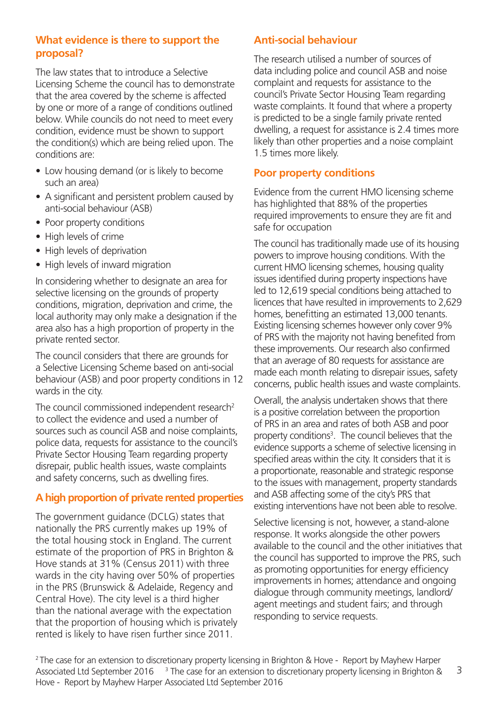#### **What evidence is there to support the proposal?**

The law states that to introduce a Selective Licensing Scheme the council has to demonstrate that the area covered by the scheme is affected by one or more of a range of conditions outlined below. While councils do not need to meet every condition, evidence must be shown to support the condition(s) which are being relied upon. The conditions are:

- Low housing demand (or is likely to become such an area)
- A significant and persistent problem caused by anti-social behaviour (ASB)
- Poor property conditions
- High levels of crime
- High levels of deprivation
- High levels of inward migration

In considering whether to designate an area for selective licensing on the grounds of property conditions, migration, deprivation and crime, the local authority may only make a designation if the area also has a high proportion of property in the private rented sector.

The council considers that there are grounds for a Selective Licensing Scheme based on anti-social behaviour (ASB) and poor property conditions in 12 wards in the city.

The council commissioned independent research<sup>2</sup> to collect the evidence and used a number of sources such as council ASB and noise complaints, police data, requests for assistance to the council's Private Sector Housing Team regarding property disrepair, public health issues, waste complaints and safety concerns, such as dwelling fires.

#### **A high proportion of private rented properties**

The government guidance (DCLG) states that nationally the PRS currently makes up 19% of the total housing stock in England. The current estimate of the proportion of PRS in Brighton & Hove stands at 31% (Census 2011) with three wards in the city having over 50% of properties in the PRS (Brunswick & Adelaide, Regency and Central Hove). The city level is a third higher than the national average with the expectation that the proportion of housing which is privately rented is likely to have risen further since 2011.

#### **Anti-social behaviour**

The research utilised a number of sources of data including police and council ASB and noise complaint and requests for assistance to the council's Private Sector Housing Team regarding waste complaints. It found that where a property is predicted to be a single family private rented dwelling, a request for assistance is 2.4 times more likely than other properties and a noise complaint 1.5 times more likely.

#### **Poor property conditions**

Evidence from the current HMO licensing scheme has highlighted that 88% of the properties required improvements to ensure they are fit and safe for occupation

The council has traditionally made use of its housing powers to improve housing conditions. With the current HMO licensing schemes, housing quality issues identified during property inspections have led to 12,619 special conditions being attached to licences that have resulted in improvements to 2,629 homes, benefitting an estimated 13,000 tenants. Existing licensing schemes however only cover 9% of PRS with the majority not having benefited from these improvements. Our research also confirmed that an average of 80 requests for assistance are made each month relating to disrepair issues, safety concerns, public health issues and waste complaints.

Overall, the analysis undertaken shows that there is a positive correlation between the proportion of PRS in an area and rates of both ASB and poor property conditions<sup>3</sup>. The council believes that the evidence supports a scheme of selective licensing in specified areas within the city. It considers that it is a proportionate, reasonable and strategic response to the issues with management, property standards and ASB affecting some of the city's PRS that existing interventions have not been able to resolve.

Selective licensing is not, however, a stand-alone response. It works alongside the other powers available to the council and the other initiatives that the council has supported to improve the PRS, such as promoting opportunities for energy efficiency improvements in homes; attendance and ongoing dialogue through community meetings, landlord/ agent meetings and student fairs; and through responding to service requests.

3 <sup>2</sup> The case for an extension to discretionary property licensing in Brighton & Hove - Report by Mayhew Harper Associated Ltd September 2016 <sup>3</sup> The case for an extension to discretionary property licensing in Brighton & Hove - Report by Mayhew Harper Associated Ltd September 2016